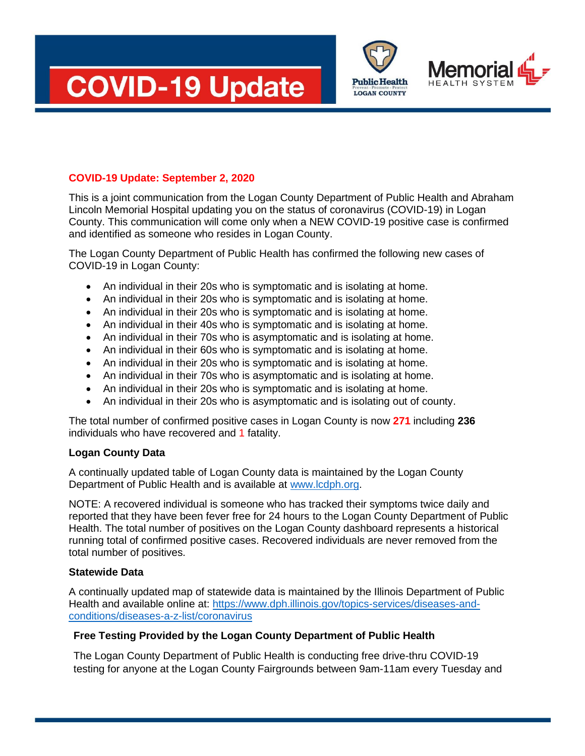





## **COVID-19 Update: September 2, 2020**

This is a joint communication from the Logan County Department of Public Health and Abraham Lincoln Memorial Hospital updating you on the status of coronavirus (COVID-19) in Logan County. This communication will come only when a NEW COVID-19 positive case is confirmed and identified as someone who resides in Logan County.

The Logan County Department of Public Health has confirmed the following new cases of COVID-19 in Logan County:

- An individual in their 20s who is symptomatic and is isolating at home.
- An individual in their 20s who is symptomatic and is isolating at home.
- An individual in their 20s who is symptomatic and is isolating at home.
- An individual in their 40s who is symptomatic and is isolating at home.
- An individual in their 70s who is asymptomatic and is isolating at home.
- An individual in their 60s who is symptomatic and is isolating at home.
- An individual in their 20s who is symptomatic and is isolating at home.
- An individual in their 70s who is asymptomatic and is isolating at home.
- An individual in their 20s who is symptomatic and is isolating at home.
- An individual in their 20s who is asymptomatic and is isolating out of county.

The total number of confirmed positive cases in Logan County is now **271** including **236**  individuals who have recovered and 1 fatality.

## **Logan County Data**

A continually updated table of Logan County data is maintained by the Logan County Department of Public Health and is available at [www.lcdph.org.](http://www.lcdph.org/)

NOTE: A recovered individual is someone who has tracked their symptoms twice daily and reported that they have been fever free for 24 hours to the Logan County Department of Public Health. The total number of positives on the Logan County dashboard represents a historical running total of confirmed positive cases. Recovered individuals are never removed from the total number of positives.

## **Statewide Data**

A continually updated map of statewide data is maintained by the Illinois Department of Public Health and available online at: [https://www.dph.illinois.gov/topics-services/diseases-and](https://www.dph.illinois.gov/topics-services/diseases-and-conditions/diseases-a-z-list/coronavirus)[conditions/diseases-a-z-list/coronavirus](https://www.dph.illinois.gov/topics-services/diseases-and-conditions/diseases-a-z-list/coronavirus)

## **Free Testing Provided by the Logan County Department of Public Health**

The Logan County Department of Public Health is conducting free drive-thru COVID-19 testing for anyone at the Logan County Fairgrounds between 9am-11am every Tuesday and